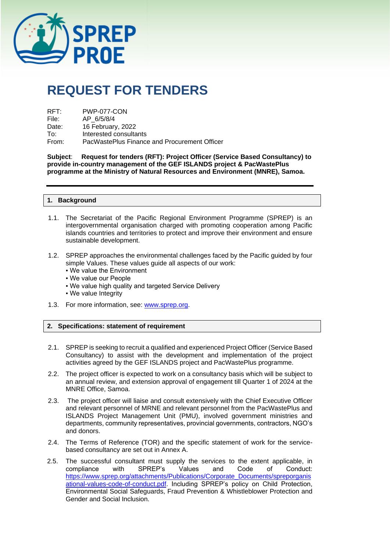

# **REQUEST FOR TENDERS**

| RFT:  | PWP-077-CON                                  |
|-------|----------------------------------------------|
| File: | AP 6/5/8/4                                   |
| Date: | 16 February, 2022                            |
| To∶   | Interested consultants                       |
| From: | PacWastePlus Finance and Procurement Officer |

**Subject**: **Request for tenders (RFT): Project Officer (Service Based Consultancy) to provide in-country management of the GEF ISLANDS project & PacWastePlus programme at the Ministry of Natural Resources and Environment (MNRE), Samoa.**

#### **1. Background**

- 1.1. The Secretariat of the Pacific Regional Environment Programme (SPREP) is an intergovernmental organisation charged with promoting cooperation among Pacific islands countries and territories to protect and improve their environment and ensure sustainable development.
- 1.2. SPREP approaches the environmental challenges faced by the Pacific guided by four simple Values. These values guide all aspects of our work:
	- We value the Environment
	- We value our People
	- . We value high quality and targeted Service Delivery
	- We value Integrity
- 1.3. For more information, see: [www.sprep.org.](http://www.sprep.org/)

#### **2. Specifications: statement of requirement**

- 2.1. SPREP is seeking to recruit a qualified and experienced Project Officer (Service Based Consultancy) to assist with the development and implementation of the project activities agreed by the GEF ISLANDS project and PacWastePlus programme.
- 2.2. The project officer is expected to work on a consultancy basis which will be subject to an annual review, and extension approval of engagement till Quarter 1 of 2024 at the MNRE Office, Samoa.
- 2.3. The project officer will liaise and consult extensively with the Chief Executive Officer and relevant personnel of MRNE and relevant personnel from the PacWastePlus and ISLANDS Project Management Unit (PMU), involved government ministries and departments, community representatives, provincial governments, contractors, NGO's and donors.
- 2.4. The Terms of Reference (TOR) and the specific statement of work for the servicebased consultancy are set out in Annex A.
- 2.5. The successful consultant must supply the services to the extent applicable, in compliance with SPREP's Values and Code of Conduct: [https://www.sprep.org/attachments/Publications/Corporate\\_Documents/spreporganis](https://www.sprep.org/attachments/Publications/Corporate_Documents/spreporganisational-values-code-of-conduct.pdf) [ational-values-code-of-conduct.pdf.](https://www.sprep.org/attachments/Publications/Corporate_Documents/spreporganisational-values-code-of-conduct.pdf) Including SPREP's policy on Child Protection, Environmental Social Safeguards, Fraud Prevention & Whistleblower Protection and Gender and Social Inclusion.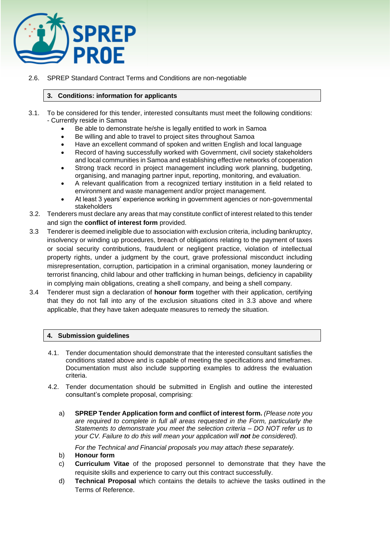

2.6. SPREP Standard Contract Terms and Conditions are non-negotiable

# **3. Conditions: information for applicants**

- 3.1. To be considered for this tender, interested consultants must meet the following conditions: - Currently reside in Samoa
	- Be able to demonstrate he/she is legally entitled to work in Samoa
	- Be willing and able to travel to project sites throughout Samoa
	- Have an excellent command of spoken and written English and local language
	- Record of having successfully worked with Government, civil society stakeholders and local communities in Samoa and establishing effective networks of cooperation
	- Strong track record in project management including work planning, budgeting, organising, and managing partner input, reporting, monitoring, and evaluation.
	- A relevant qualification from a recognized tertiary institution in a field related to environment and waste management and/or project management.
	- At least 3 years' experience working in government agencies or non-governmental stakeholders
- 3.2. Tenderers must declare any areas that may constitute conflict of interest related to this tender and sign the **conflict of interest form** provided.
- 3.3 Tenderer is deemed ineligible due to association with exclusion criteria, including bankruptcy, insolvency or winding up procedures, breach of obligations relating to the payment of taxes or social security contributions, fraudulent or negligent practice, violation of intellectual property rights, under a judgment by the court, grave professional misconduct including misrepresentation, corruption, participation in a criminal organisation, money laundering or terrorist financing, child labour and other trafficking in human beings, deficiency in capability in complying main obligations, creating a shell company, and being a shell company.
- 3.4 Tenderer must sign a declaration of **honour form** together with their application, certifying that they do not fall into any of the exclusion situations cited in 3.3 above and where applicable, that they have taken adequate measures to remedy the situation.

## **4. Submission guidelines**

- 4.1. Tender documentation should demonstrate that the interested consultant satisfies the conditions stated above and is capable of meeting the specifications and timeframes. Documentation must also include supporting examples to address the evaluation criteria.
- 4.2. Tender documentation should be submitted in English and outline the interested consultant's complete proposal, comprising:
	- a) **SPREP Tender Application form and conflict of interest form.** *(Please note you are required to complete in full all areas requested in the Form, particularly the Statements to demonstrate you meet the selection criteria – DO NOT refer us to your CV. Failure to do this will mean your application will not be considered).*

*For the Technical and Financial proposals you may attach these separately.* 

- b) **Honour form**
- c) **Curriculum Vitae** of the proposed personnel to demonstrate that they have the requisite skills and experience to carry out this contract successfully.
- d) **Technical Proposal** which contains the details to achieve the tasks outlined in the Terms of Reference.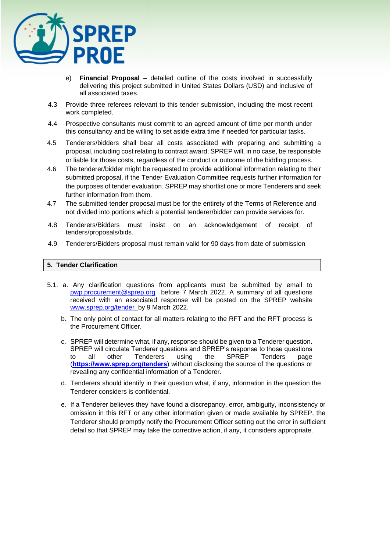

- e) **Financial Proposal** detailed outline of the costs involved in successfully delivering this project submitted in United States Dollars (USD) and inclusive of all associated taxes.
- 4.3 Provide three referees relevant to this tender submission, including the most recent work completed.
- 4.4 Prospective consultants must commit to an agreed amount of time per month under this consultancy and be willing to set aside extra time if needed for particular tasks.
- 4.5 Tenderers/bidders shall bear all costs associated with preparing and submitting a proposal, including cost relating to contract award; SPREP will, in no case, be responsible or liable for those costs, regardless of the conduct or outcome of the bidding process.
- 4.6 The tenderer/bidder might be requested to provide additional information relating to their submitted proposal, if the Tender Evaluation Committee requests further information for the purposes of tender evaluation. SPREP may shortlist one or more Tenderers and seek further information from them.
- 4.7 The submitted tender proposal must be for the entirety of the Terms of Reference and not divided into portions which a potential tenderer/bidder can provide services for.
- 4.8 Tenderers/Bidders must insist on an acknowledgement of receipt of tenders/proposals/bids.
- 4.9 Tenderers/Bidders proposal must remain valid for 90 days from date of submission

#### **5. Tender Clarification**

- 5.1. a. Any clarification questions from applicants must be submitted by email to [pwp.procurement@sprep.org](mailto:pwp.procurement@sprep.org) before 7 March 2022. A summary of all questions received with an associated response will be posted on the SPREP website [www.sprep.org/tender](http://www.sprep.org/tender) by 9 March 2022.
	- b. The only point of contact for all matters relating to the RFT and the RFT process is the Procurement Officer.
	- c. SPREP will determine what, if any, response should be given to a Tenderer question. SPREP will circulate Tenderer questions and SPREP's response to those questions to all other Tenderers using the SPREP Tenders page (**<https://www.sprep.org/tenders>**) without disclosing the source of the questions or revealing any confidential information of a Tenderer.
	- d. Tenderers should identify in their question what, if any, information in the question the Tenderer considers is confidential.
	- e. If a Tenderer believes they have found a discrepancy, error, ambiguity, inconsistency or omission in this RFT or any other information given or made available by SPREP, the Tenderer should promptly notify the Procurement Officer setting out the error in sufficient detail so that SPREP may take the corrective action, if any, it considers appropriate.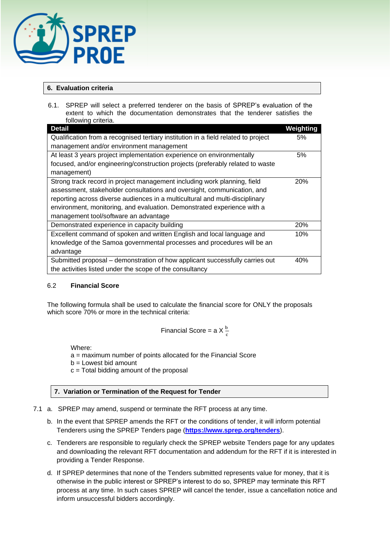

# **6. Evaluation criteria**

6.1. SPREP will select a preferred tenderer on the basis of SPREP's evaluation of the extent to which the documentation demonstrates that the tenderer satisfies the following criteria

| <b>IUIIUWIIIY UIIIEIIA.</b>                                                        |            |
|------------------------------------------------------------------------------------|------------|
| <b>Detail</b>                                                                      | Weighting  |
| Qualification from a recognised tertiary institution in a field related to project |            |
| management and/or environment management                                           |            |
| At least 3 years project implementation experience on environmentally              | 5%         |
| focused, and/or engineering/construction projects (preferably related to waste     |            |
| management)                                                                        |            |
| Strong track record in project management including work planning, field           | <b>20%</b> |
| assessment, stakeholder consultations and oversight, communication, and            |            |
| reporting across diverse audiences in a multicultural and multi-disciplinary       |            |
| environment, monitoring, and evaluation. Demonstrated experience with a            |            |
| management tool/software an advantage                                              |            |
| Demonstrated experience in capacity building                                       | 20%        |
| Excellent command of spoken and written English and local language and             | 10%        |
| knowledge of the Samoa governmental processes and procedures will be an            |            |
| advantage                                                                          |            |
| Submitted proposal – demonstration of how applicant successfully carries out       | 40%        |
| the activities listed under the scope of the consultancy                           |            |

## 6.2 **Financial Score**

The following formula shall be used to calculate the financial score for ONLY the proposals which score 70% or more in the technical criteria:

Financial Score = a X 
$$
\frac{b}{c}
$$

Where:

a = maximum number of points allocated for the Financial Score

b = Lowest bid amount

 $c =$  Total bidding amount of the proposal

# **7. Variation or Termination of the Request for Tender**

- 7.1 a. SPREP may amend, suspend or terminate the RFT process at any time.
	- b. In the event that SPREP amends the RFT or the conditions of tender, it will inform potential Tenderers using the SPREP Tenders page (**<https://www.sprep.org/tenders>**).
	- c. Tenderers are responsible to regularly check the SPREP website Tenders page for any updates and downloading the relevant RFT documentation and addendum for the RFT if it is interested in providing a Tender Response.
	- d. If SPREP determines that none of the Tenders submitted represents value for money, that it is otherwise in the public interest or SPREP's interest to do so, SPREP may terminate this RFT process at any time. In such cases SPREP will cancel the tender, issue a cancellation notice and inform unsuccessful bidders accordingly.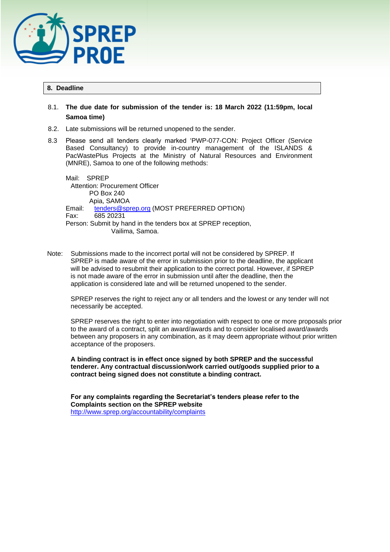

#### **8. Deadline**

# 8.1. **The due date for submission of the tender is: 18 March 2022 (11:59pm, local Samoa time)**

- 8.2. Late submissions will be returned unopened to the sender.
- 8.3 Please send all tenders clearly marked 'PWP-077-CON: Project Officer (Service Based Consultancy) to provide in-country management of the ISLANDS & PacWastePlus Projects at the Ministry of Natural Resources and Environment (MNRE), Samoa to one of the following methods:

Mail: SPREP Attention: Procurement Officer PO Box 240 Apia, SAMOA Email: [tenders@sprep.org](mailto:tenders@sprep.org) (MOST PREFERRED OPTION) Fax: 685 20231 Person: Submit by hand in the tenders box at SPREP reception, Vailima, Samoa.

Note: Submissions made to the incorrect portal will not be considered by SPREP. If SPREP is made aware of the error in submission prior to the deadline, the applicant will be advised to resubmit their application to the correct portal. However, if SPREP is not made aware of the error in submission until after the deadline, then the application is considered late and will be returned unopened to the sender.

SPREP reserves the right to reject any or all tenders and the lowest or any tender will not necessarily be accepted.

SPREP reserves the right to enter into negotiation with respect to one or more proposals prior to the award of a contract, split an award/awards and to consider localised award/awards between any proposers in any combination, as it may deem appropriate without prior written acceptance of the proposers.

**A binding contract is in effect once signed by both SPREP and the successful tenderer. Any contractual discussion/work carried out/goods supplied prior to a contract being signed does not constitute a binding contract.** 

**For any complaints regarding the Secretariat's tenders please refer to the Complaints section on the SPREP website**  <http://www.sprep.org/accountability/complaints>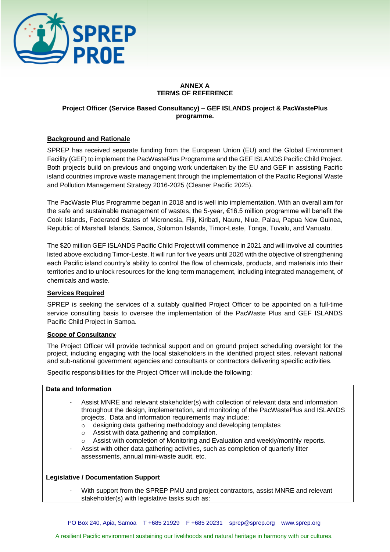

# **ANNEX A TERMS OF REFERENCE**

# **Project Officer (Service Based Consultancy) – GEF ISLANDS project & PacWastePlus programme.**

## **Background and Rationale**

SPREP has received separate funding from the European Union (EU) and the Global Environment Facility (GEF) to implement the PacWastePlus Programme and the GEF ISLANDS Pacific Child Project. Both projects build on previous and ongoing work undertaken by the EU and GEF in assisting Pacific island countries improve waste management through the implementation of the Pacific Regional Waste and Pollution Management Strategy 2016-2025 (Cleaner Pacific 2025).

The PacWaste Plus Programme began in 2018 and is well into implementation. With an overall aim for the safe and sustainable management of wastes, the 5-year, €16.5 million programme will benefit the Cook Islands, Federated States of Micronesia, Fiji, Kiribati, Nauru, Niue, Palau, Papua New Guinea, Republic of Marshall Islands, Samoa, Solomon Islands, Timor-Leste, Tonga, Tuvalu, and Vanuatu.

The \$20 million GEF ISLANDS Pacific Child Project will commence in 2021 and will involve all countries listed above excluding Timor-Leste. It will run for five years until 2026 with the objective of strengthening each Pacific island country's ability to control the flow of chemicals, products, and materials into their territories and to unlock resources for the long-term management, including integrated management, of chemicals and waste.

## **Services Required**

SPREP is seeking the services of a suitably qualified Project Officer to be appointed on a full-time service consulting basis to oversee the implementation of the PacWaste Plus and GEF ISLANDS Pacific Child Project in Samoa.

#### **Scope of Consultancy**

The Project Officer will provide technical support and on ground project scheduling oversight for the project, including engaging with the local stakeholders in the identified project sites, relevant national and sub-national government agencies and consultants or contractors delivering specific activities.

Specific responsibilities for the Project Officer will include the following:

#### **Data and Information**

- Assist MNRE and relevant stakeholder(s) with collection of relevant data and information throughout the design, implementation, and monitoring of the PacWastePlus and ISLANDS projects. Data and information requirements may include:
	- o designing data gathering methodology and developing templates
	- o Assist with data gathering and compilation.
	- o Assist with completion of Monitoring and Evaluation and weekly/monthly reports.
- Assist with other data gathering activities, such as completion of quarterly litter assessments, annual mini-waste audit, etc.

## **Legislative / Documentation Support**

With support from the SPREP PMU and project contractors, assist MNRE and relevant stakeholder(s) with legislative tasks such as: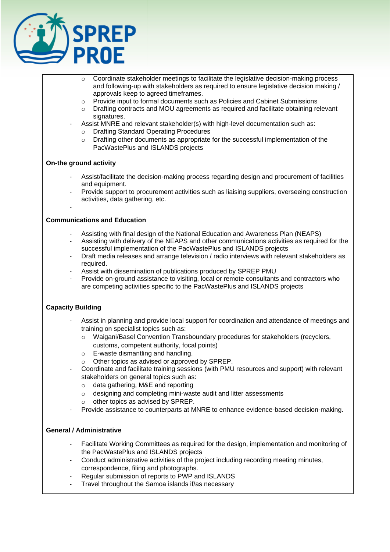

- $\circ$  Coordinate stakeholder meetings to facilitate the legislative decision-making process and following-up with stakeholders as required to ensure legislative decision making / approvals keep to agreed timeframes.
- o Provide input to formal documents such as Policies and Cabinet Submissions
- o Drafting contracts and MOU agreements as required and facilitate obtaining relevant signatures.
- Assist MNRE and relevant stakeholder(s) with high-level documentation such as:
	- o Drafting Standard Operating Procedures
	- $\circ$  Drafting other documents as appropriate for the successful implementation of the PacWastePlus and ISLANDS projects

#### **On-the ground activity**

-

- Assist/facilitate the decision-making process regarding design and procurement of facilities and equipment.
- Provide support to procurement activities such as liaising suppliers, overseeing construction activities, data gathering, etc.

#### **Communications and Education**

- Assisting with final design of the National Education and Awareness Plan (NEAPS)
- Assisting with delivery of the NEAPS and other communications activities as required for the successful implementation of the PacWastePlus and ISLANDS projects
- Draft media releases and arrange television / radio interviews with relevant stakeholders as required.
- Assist with dissemination of publications produced by SPREP PMU
- Provide on-ground assistance to visiting, local or remote consultants and contractors who are competing activities specific to the PacWastePlus and ISLANDS projects

## **Capacity Building**

- Assist in planning and provide local support for coordination and attendance of meetings and training on specialist topics such as:
	- o Waigani/Basel Convention Transboundary procedures for stakeholders (recyclers, customs, competent authority, focal points)
	- o E-waste dismantling and handling.
	- o Other topics as advised or approved by SPREP.
- Coordinate and facilitate training sessions (with PMU resources and support) with relevant stakeholders on general topics such as:
	- o data gathering, M&E and reporting
	- o designing and completing mini-waste audit and litter assessments
	- o other topics as advised by SPREP.
- Provide assistance to counterparts at MNRE to enhance evidence-based decision-making.

## **General / Administrative**

- Facilitate Working Committees as required for the design, implementation and monitoring of the PacWastePlus and ISLANDS projects
- Conduct administrative activities of the project including recording meeting minutes, correspondence, filing and photographs.
- Regular submission of reports to PWP and ISLANDS
- Travel throughout the Samoa islands if/as necessary